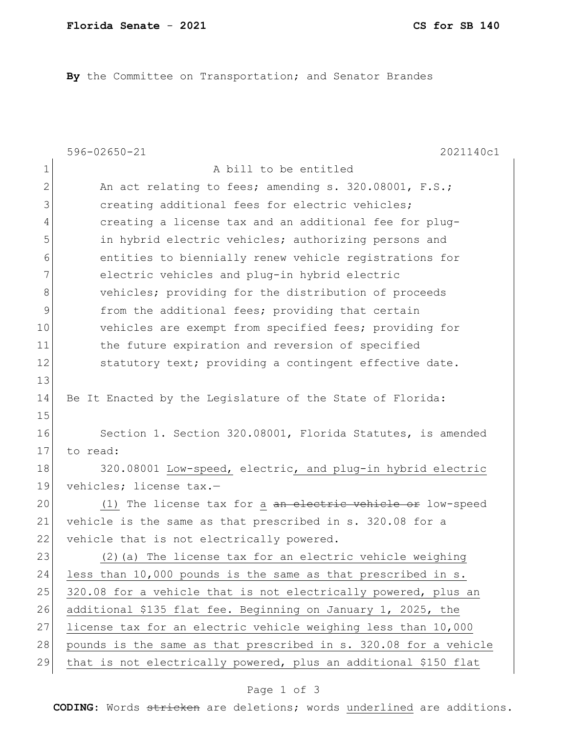**By** the Committee on Transportation; and Senator Brandes

|             | $596 - 02650 - 21$<br>2021140c1                                  |
|-------------|------------------------------------------------------------------|
| $\mathbf 1$ | A bill to be entitled                                            |
| 2           | An act relating to fees; amending s. 320.08001, F.S.;            |
| 3           | creating additional fees for electric vehicles;                  |
| 4           | creating a license tax and an additional fee for plug-           |
| 5           | in hybrid electric vehicles; authorizing persons and             |
| 6           | entities to biennially renew vehicle registrations for           |
| 7           | electric vehicles and plug-in hybrid electric                    |
| 8           | vehicles; providing for the distribution of proceeds             |
| 9           | from the additional fees; providing that certain                 |
| 10          | vehicles are exempt from specified fees; providing for           |
| 11          | the future expiration and reversion of specified                 |
| 12          | statutory text; providing a contingent effective date.           |
| 13          |                                                                  |
| 14          | Be It Enacted by the Legislature of the State of Florida:        |
| 15          |                                                                  |
| 16          | Section 1. Section 320.08001, Florida Statutes, is amended       |
| 17          | to read:                                                         |
| 18          | 320.08001 Low-speed, electric, and plug-in hybrid electric       |
| 19          | vehicles; license tax.-                                          |
| 20          | (1) The license tax for a an electric vehicle or low-speed       |
| 21          | vehicle is the same as that prescribed in s. 320.08 for a        |
| 22          | vehicle that is not electrically powered.                        |
| 23          | (2) (a) The license tax for an electric vehicle weighing         |
| 24          | less than 10,000 pounds is the same as that prescribed in s.     |
| 25          | 320.08 for a vehicle that is not electrically powered, plus an   |
| 26          | additional \$135 flat fee. Beginning on January 1, 2025, the     |
| 27          | license tax for an electric vehicle weighing less than 10,000    |
| 28          | pounds is the same as that prescribed in s. 320.08 for a vehicle |
| 29          | that is not electrically powered, plus an additional \$150 flat  |

## Page 1 of 3

**CODING**: Words stricken are deletions; words underlined are additions.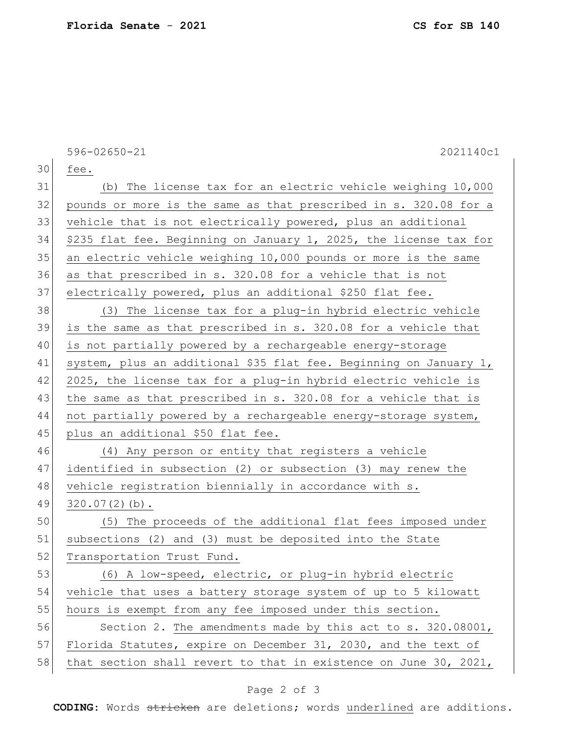596-02650-21 2021140c1 30 fee. 31 (b) The license tax for an electric vehicle weighing 10,000 32 pounds or more is the same as that prescribed in s. 320.08 for a 33 vehicle that is not electrically powered, plus an additional 34 \$235 flat fee. Beginning on January 1, 2025, the license tax for 35 an electric vehicle weighing 10,000 pounds or more is the same 36 as that prescribed in s. 320.08 for a vehicle that is not 37 electrically powered, plus an additional \$250 flat fee. 38 (3) The license tax for a plug-in hybrid electric vehicle 39 is the same as that prescribed in s. 320.08 for a vehicle that 40 is not partially powered by a rechargeable energy-storage 41 system, plus an additional \$35 flat fee. Beginning on January 1, 42 2025, the license tax for a plug-in hybrid electric vehicle is 43 | the same as that prescribed in s. 320.08 for a vehicle that is 44 not partially powered by a rechargeable energy-storage system, 45 plus an additional \$50 flat fee. 46 (4) Any person or entity that registers a vehicle 47 identified in subsection (2) or subsection (3) may renew the 48 vehicle registration biennially in accordance with s. 49 320.07(2)(b). 50 (5) The proceeds of the additional flat fees imposed under 51 subsections (2) and (3) must be deposited into the State 52 Transportation Trust Fund. 53 (6) A low-speed, electric, or plug-in hybrid electric 54 vehicle that uses a battery storage system of up to 5 kilowatt 55 hours is exempt from any fee imposed under this section. 56 Section 2. The amendments made by this act to s. 320.08001, 57 Florida Statutes, expire on December 31, 2030, and the text of 58 that section shall revert to that in existence on June 30, 2021,

## Page 2 of 3

**CODING**: Words stricken are deletions; words underlined are additions.